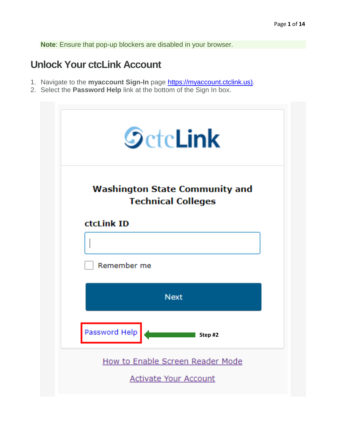**Note**: Ensure that pop-up blockers are disabled in your browser.

### **Unlock Your ctcLink Account**

- 1. Navigate to the **myaccount Sign-In** page [https://myaccount.ctclink.us\).](https://myaccount.ctclink.us)/)
- 2. Select the **Password Help** link at the bottom of the Sign In box.

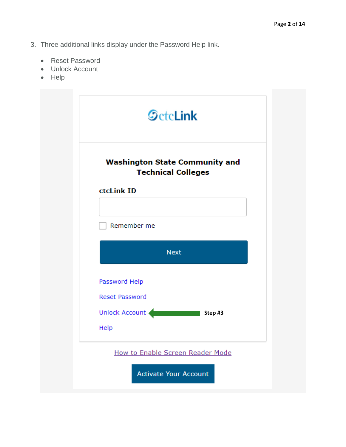- 3. Three additional links display under the Password Help link.
	- Reset Password
	- Unlock Account
	- Help

| <b>Washington State Community and</b><br><b>Technical Colleges</b> |             |
|--------------------------------------------------------------------|-------------|
| ctcLink ID                                                         |             |
| Remember me                                                        |             |
|                                                                    | <b>Next</b> |
| Password Help                                                      |             |
| <b>Reset Password</b>                                              |             |
| Unlock Account                                                     | Step #3     |
| Help                                                               |             |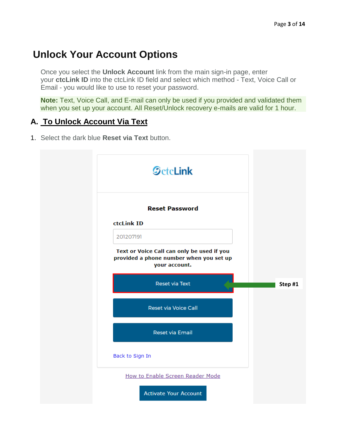# **Unlock Your Account Options**

Once you select the **Unlock Account** link from the main sign-in page, enter your **ctcLink ID** into the ctcLink ID field and select which method - Text, Voice Call or Email - you would like to use to reset your password.

**Note:** Text, Voice Call, and E-mail can only be used if you provided and validated them when you set up your account. All Reset/Unlock recovery e-mails are valid for 1 hour.

#### **A. To Unlock Account Via Text**

1. Select the dark blue **Reset via Text** button.

| <b>SctcLink</b>                                                                                        |         |
|--------------------------------------------------------------------------------------------------------|---------|
| <b>Reset Password</b>                                                                                  |         |
| ctcLink ID                                                                                             |         |
| 201207191                                                                                              |         |
| Text or Voice Call can only be used if you<br>provided a phone number when you set up<br>your account. |         |
| <b>Reset via Text</b>                                                                                  | Step #1 |
| <b>Reset via Voice Call</b>                                                                            |         |
| <b>Reset via Email</b>                                                                                 |         |
| Back to Sign In                                                                                        |         |
| How to Enable Screen Reader Mode                                                                       |         |
|                                                                                                        |         |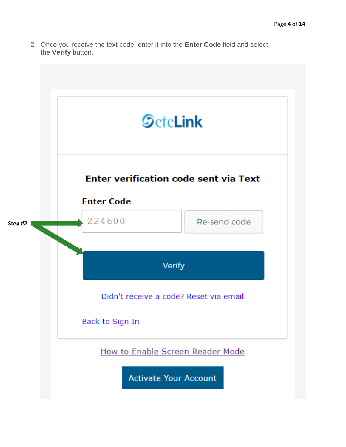2. Once you receive the text code, enter it into the **Enter Code** field and select the **Verify** button.

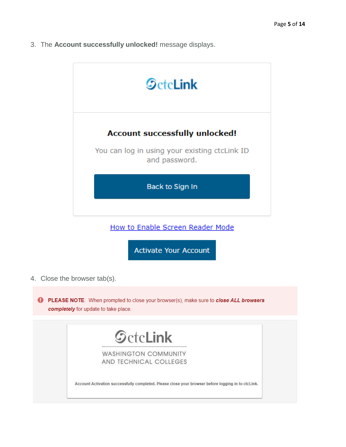3. The **Account successfully unlocked!** message displays.



How to Enable Screen Reader Mode

**Activate Your Account** 

4. Close the browser tab(s).

**C** PLEASE NOTE: When prompted to close your browser(s), make sure to close ALL browsers completely for update to take place.

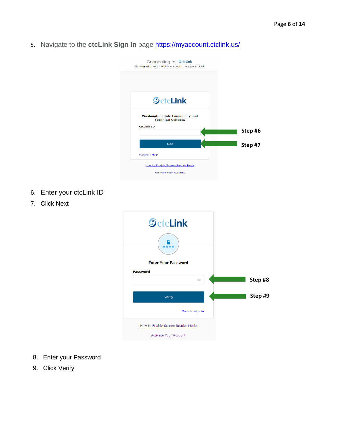5. Navigate to the ctcLink Sign In page<https://myaccount.ctclink.us/>



- 6. Enter your ctcLink ID
- 7. Click Next



- 8. Enter your Password
- 9. Click Verify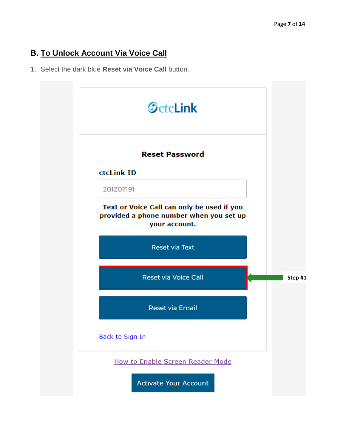### **B. To Unlock Account Via Voice Call**

1. Select the dark blue **Reset via Voice Call** button.

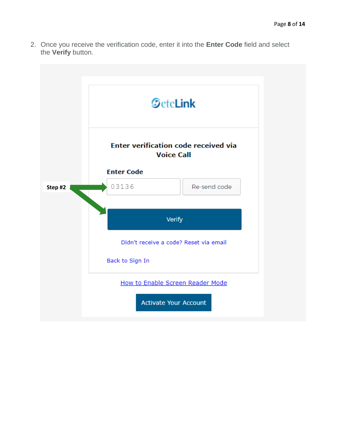2. Once you receive the verification code, enter it into the **Enter Code** field and select the **Verify** button.

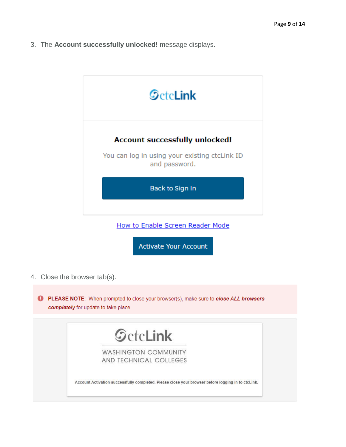3. The **Account successfully unlocked!** message displays.



How to Enable Screen Reader Mode

**Activate Your Account** 

4. Close the browser tab(s).

PLEASE NOTE: When prompted to close your browser(s), make sure to close ALL browsers completely for update to take place.

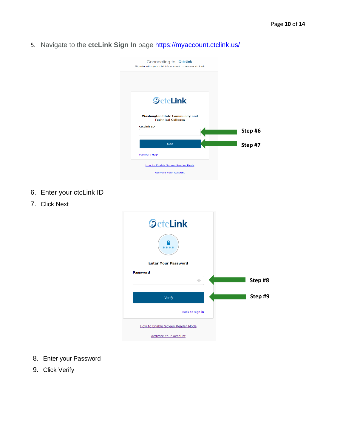5. Navigate to the ctcLink Sign In page<https://myaccount.ctclink.us/>



- 6. Enter your ctcLink ID
- 7. Click Next



- 8. Enter your Password
- 9. Click Verify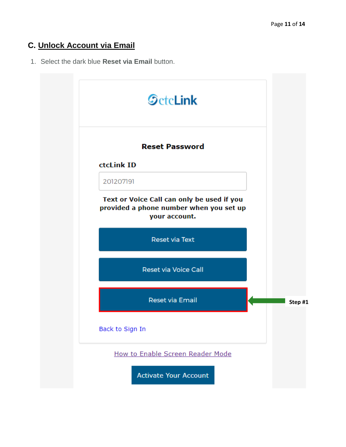# **C. Unlock Account via Email**

1. Select the dark blue **Reset via Email** button.

| <b>SctcLink</b>                                                                                        |  |
|--------------------------------------------------------------------------------------------------------|--|
| <b>Reset Password</b>                                                                                  |  |
| ctcLink ID                                                                                             |  |
| 201207191                                                                                              |  |
| Text or Voice Call can only be used if you<br>provided a phone number when you set up<br>your account. |  |
| <b>Reset via Text</b>                                                                                  |  |
| <b>Reset via Voice Call</b>                                                                            |  |
| <b>Reset via Email</b>                                                                                 |  |
| Back to Sign In                                                                                        |  |
| How to Enable Screen Reader Mode                                                                       |  |
| <b>Activate Your Account</b>                                                                           |  |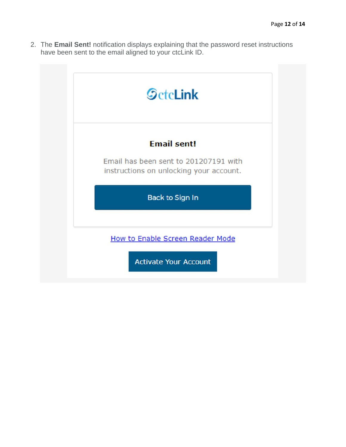2. The **Email Sent!** notification displays explaining that the password reset instructions have been sent to the email aligned to your ctcLink ID.

| <b>Email sent!</b>                                                               |
|----------------------------------------------------------------------------------|
| Email has been sent to 201207191 with<br>instructions on unlocking your account. |
| Back to Sign In                                                                  |
| How to Enable Screen Reader Mode                                                 |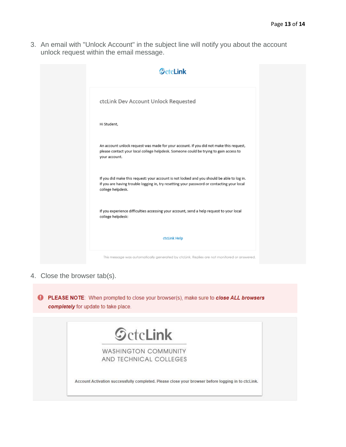3. An email with "Unlock Account" in the subject line will notify you about the account unlock request within the email message.



4. Close the browser tab(s).

PLEASE NOTE: When prompted to close your browser(s), make sure to close ALL browsers completely for update to take place.